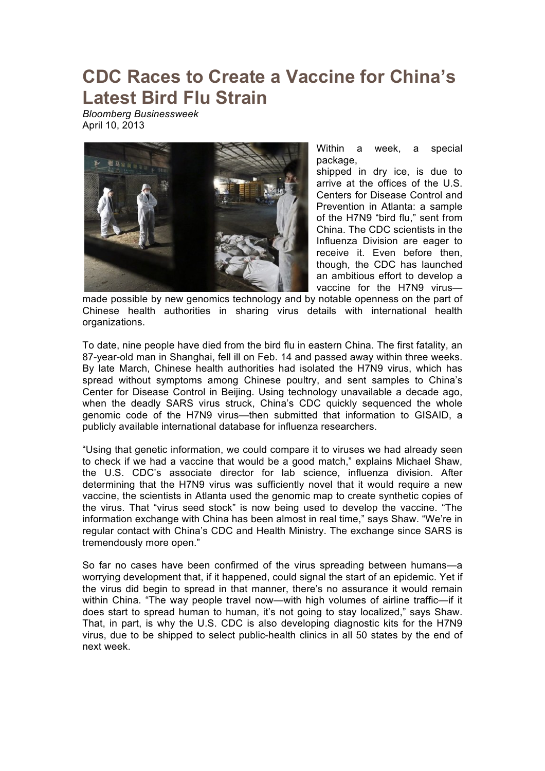## **CDC Races to Create a Vaccine for China's Latest Bird Flu Strain**

*Bloomberg Businessweek* April 10, 2013



Within a week, a special package,

shipped in dry ice, is due to arrive at the offices of the U.S. Centers for Disease Control and Prevention in Atlanta: a sample of the H7N9 "bird flu," sent from China. The CDC scientists in the Influenza Division are eager to receive it. Even before then, though, the CDC has launched an ambitious effort to develop a vaccine for the H7N9 virus—

made possible by new genomics technology and by notable openness on the part of Chinese health authorities in sharing virus details with international health organizations.

To date, nine people have died from the bird flu in eastern China. The first fatality, an 87-year-old man in Shanghai, fell ill on Feb. 14 and passed away within three weeks. By late March, Chinese health authorities had isolated the H7N9 virus, which has spread without symptoms among Chinese poultry, and sent samples to China's Center for Disease Control in Beijing. Using technology unavailable a decade ago, when the deadly SARS virus struck, China's CDC quickly sequenced the whole genomic code of the H7N9 virus—then submitted that information to GISAID, a publicly available international database for influenza researchers.

"Using that genetic information, we could compare it to viruses we had already seen to check if we had a vaccine that would be a good match," explains Michael Shaw, the U.S. CDC's associate director for lab science, influenza division. After determining that the H7N9 virus was sufficiently novel that it would require a new vaccine, the scientists in Atlanta used the genomic map to create synthetic copies of the virus. That "virus seed stock" is now being used to develop the vaccine. "The information exchange with China has been almost in real time," says Shaw. "We're in regular contact with China's CDC and Health Ministry. The exchange since SARS is tremendously more open."

So far no cases have been confirmed of the virus spreading between humans—a worrying development that, if it happened, could signal the start of an epidemic. Yet if the virus did begin to spread in that manner, there's no assurance it would remain within China. "The way people travel now—with high volumes of airline traffic—if it does start to spread human to human, it's not going to stay localized," says Shaw. That, in part, is why the U.S. CDC is also developing diagnostic kits for the H7N9 virus, due to be shipped to select public-health clinics in all 50 states by the end of next week.